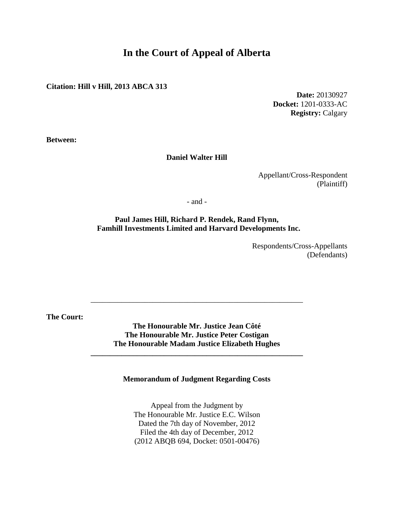# **In the Court of Appeal of Alberta**

**Citation: Hill v Hill, 2013 ABCA 313**

**Date:** 20130927 **Docket:** 1201-0333-AC **Registry:** Calgary

**Between:**

#### **Daniel Walter Hill**

Appellant/Cross-Respondent (Plaintiff)

- and -

**Paul James Hill, Richard P. Rendek, Rand Flynn, Famhill Investments Limited and Harvard Developments Inc.**

> Respondents/Cross-Appellants (Defendants)

**The Court:**

**The Honourable Mr. Justice Jean Côté The Honourable Mr. Justice Peter Costigan The Honourable Madam Justice Elizabeth Hughes**

**\_\_\_\_\_\_\_\_\_\_\_\_\_\_\_\_\_\_\_\_\_\_\_\_\_\_\_\_\_\_\_\_\_\_\_\_\_\_\_\_\_\_\_\_\_\_\_\_\_\_\_\_\_\_\_**

\_\_\_\_\_\_\_\_\_\_\_\_\_\_\_\_\_\_\_\_\_\_\_\_\_\_\_\_\_\_\_\_\_\_\_\_\_\_\_\_\_\_\_\_\_\_\_\_\_\_\_\_\_\_\_

**Memorandum of Judgment Regarding Costs**

Appeal from the Judgment by The Honourable Mr. Justice E.C. Wilson Dated the 7th day of November, 2012 Filed the 4th day of December, 2012 (2012 ABQB 694, Docket: 0501-00476)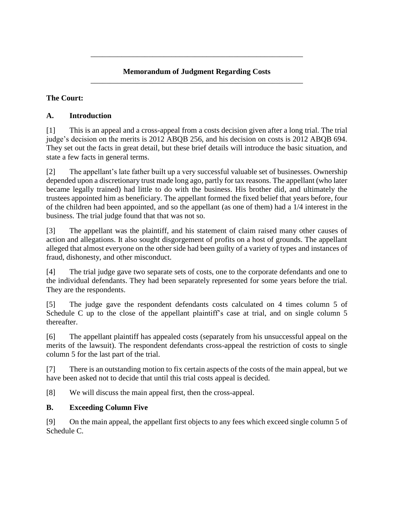#### **Memorandum of Judgment Regarding Costs** \_\_\_\_\_\_\_\_\_\_\_\_\_\_\_\_\_\_\_\_\_\_\_\_\_\_\_\_\_\_\_\_\_\_\_\_\_\_\_\_\_\_\_\_\_\_\_\_\_\_\_\_\_\_\_

\_\_\_\_\_\_\_\_\_\_\_\_\_\_\_\_\_\_\_\_\_\_\_\_\_\_\_\_\_\_\_\_\_\_\_\_\_\_\_\_\_\_\_\_\_\_\_\_\_\_\_\_\_\_\_

# **The Court:**

# **A. Introduction**

[1] This is an appeal and a cross-appeal from a costs decision given after a long trial. The trial judge's decision on the merits is 2012 ABQB 256, and his decision on costs is 2012 ABQB 694. They set out the facts in great detail, but these brief details will introduce the basic situation, and state a few facts in general terms.

[2] The appellant's late father built up a very successful valuable set of businesses. Ownership depended upon a discretionary trust made long ago, partly for tax reasons. The appellant (who later became legally trained) had little to do with the business. His brother did, and ultimately the trustees appointed him as beneficiary. The appellant formed the fixed belief that years before, four of the children had been appointed, and so the appellant (as one of them) had a 1/4 interest in the business. The trial judge found that that was not so.

[3] The appellant was the plaintiff, and his statement of claim raised many other causes of action and allegations. It also sought disgorgement of profits on a host of grounds. The appellant alleged that almost everyone on the other side had been guilty of a variety of types and instances of fraud, dishonesty, and other misconduct.

[4] The trial judge gave two separate sets of costs, one to the corporate defendants and one to the individual defendants. They had been separately represented for some years before the trial. They are the respondents.

[5] The judge gave the respondent defendants costs calculated on 4 times column 5 of Schedule C up to the close of the appellant plaintiff's case at trial, and on single column 5 thereafter.

[6] The appellant plaintiff has appealed costs (separately from his unsuccessful appeal on the merits of the lawsuit). The respondent defendants cross-appeal the restriction of costs to single column 5 for the last part of the trial.

[7] There is an outstanding motion to fix certain aspects of the costs of the main appeal, but we have been asked not to decide that until this trial costs appeal is decided.

[8] We will discuss the main appeal first, then the cross-appeal.

# **B. Exceeding Column Five**

[9] On the main appeal, the appellant first objects to any fees which exceed single column 5 of Schedule C.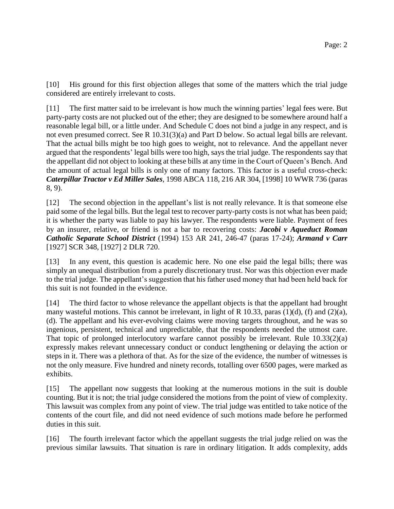[10] His ground for this first objection alleges that some of the matters which the trial judge considered are entirely irrelevant to costs.

[11] The first matter said to be irrelevant is how much the winning parties' legal fees were. But party-party costs are not plucked out of the ether; they are designed to be somewhere around half a reasonable legal bill, or a little under. And Schedule C does not bind a judge in any respect, and is not even presumed correct. See R 10.31(3)(a) and Part D below. So actual legal bills are relevant. That the actual bills might be too high goes to weight, not to relevance. And the appellant never argued that the respondents' legal bills were too high, says the trial judge. The respondents say that the appellant did not object to looking at these bills at any time in the Court of Queen's Bench. And the amount of actual legal bills is only one of many factors. This factor is a useful cross-check: *Caterpillar Tractor v Ed Miller Sales*, 1998 ABCA 118, 216 AR 304, [1998] 10 WWR 736 (paras 8, 9).

[12] The second objection in the appellant's list is not really relevance. It is that someone else paid some of the legal bills. But the legal test to recover party-party costs is not what has been paid; it is whether the party was liable to pay his lawyer. The respondents were liable. Payment of fees by an insurer, relative, or friend is not a bar to recovering costs: *Jacobi v Aqueduct Roman Catholic Separate School District* (1994) 153 AR 241, 246-47 (paras 17-24); *Armand v Carr* [1927] SCR 348, [1927] 2 DLR 720.

[13] In any event, this question is academic here. No one else paid the legal bills; there was simply an unequal distribution from a purely discretionary trust. Nor was this objection ever made to the trial judge. The appellant's suggestion that his father used money that had been held back for this suit is not founded in the evidence.

[14] The third factor to whose relevance the appellant objects is that the appellant had brought many wasteful motions. This cannot be irrelevant, in light of R 10.33, paras  $(1)(d)$ ,  $(f)$  and  $(2)(a)$ , (d). The appellant and his ever-evolving claims were moving targets throughout, and he was so ingenious, persistent, technical and unpredictable, that the respondents needed the utmost care. That topic of prolonged interlocutory warfare cannot possibly be irrelevant. Rule 10.33(2)(a) expressly makes relevant unnecessary conduct or conduct lengthening or delaying the action or steps in it. There was a plethora of that. As for the size of the evidence, the number of witnesses is not the only measure. Five hundred and ninety records, totalling over 6500 pages, were marked as exhibits.

[15] The appellant now suggests that looking at the numerous motions in the suit is double counting. But it is not; the trial judge considered the motions from the point of view of complexity. This lawsuit was complex from any point of view. The trial judge was entitled to take notice of the contents of the court file, and did not need evidence of such motions made before he performed duties in this suit.

[16] The fourth irrelevant factor which the appellant suggests the trial judge relied on was the previous similar lawsuits. That situation is rare in ordinary litigation. It adds complexity, adds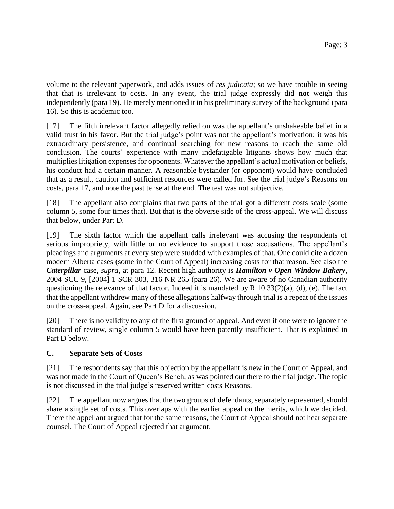volume to the relevant paperwork, and adds issues of *res judicata*; so we have trouble in seeing that that is irrelevant to costs. In any event, the trial judge expressly did **not** weigh this independently (para 19). He merely mentioned it in his preliminary survey of the background (para 16). So this is academic too.

[17] The fifth irrelevant factor allegedly relied on was the appellant's unshakeable belief in a valid trust in his favor. But the trial judge's point was not the appellant's motivation; it was his extraordinary persistence, and continual searching for new reasons to reach the same old conclusion. The courts' experience with many indefatigable litigants shows how much that multiplies litigation expenses for opponents. Whatever the appellant's actual motivation or beliefs, his conduct had a certain manner. A reasonable bystander (or opponent) would have concluded that as a result, caution and sufficient resources were called for. See the trial judge's Reasons on costs, para 17, and note the past tense at the end. The test was not subjective.

[18] The appellant also complains that two parts of the trial got a different costs scale (some column 5, some four times that). But that is the obverse side of the cross-appeal. We will discuss that below, under Part D.

[19] The sixth factor which the appellant calls irrelevant was accusing the respondents of serious impropriety, with little or no evidence to support those accusations. The appellant's pleadings and arguments at every step were studded with examples of that. One could cite a dozen modern Alberta cases (some in the Court of Appeal) increasing costs for that reason. See also the *Caterpillar* case, *supra*, at para 12. Recent high authority is *Hamilton v Open Window Bakery*, 2004 SCC 9, [2004] 1 SCR 303, 316 NR 265 (para 26). We are aware of no Canadian authority questioning the relevance of that factor. Indeed it is mandated by R 10.33(2)(a), (d), (e). The fact that the appellant withdrew many of these allegations halfway through trial is a repeat of the issues on the cross-appeal. Again, see Part D for a discussion.

[20] There is no validity to any of the first ground of appeal. And even if one were to ignore the standard of review, single column 5 would have been patently insufficient. That is explained in Part D below.

# **C. Separate Sets of Costs**

[21] The respondents say that this objection by the appellant is new in the Court of Appeal, and was not made in the Court of Queen's Bench, as was pointed out there to the trial judge. The topic is not discussed in the trial judge's reserved written costs Reasons.

[22] The appellant now argues that the two groups of defendants, separately represented, should share a single set of costs. This overlaps with the earlier appeal on the merits, which we decided. There the appellant argued that for the same reasons, the Court of Appeal should not hear separate counsel. The Court of Appeal rejected that argument.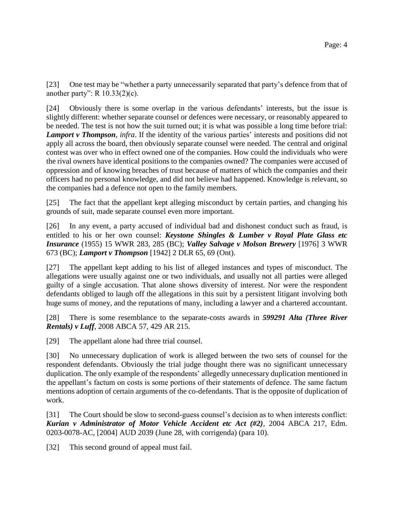[23] One test may be "whether a party unnecessarily separated that party's defence from that of another party": R 10.33(2)(c).

[24] Obviously there is some overlap in the various defendants' interests, but the issue is slightly different: whether separate counsel or defences were necessary, or reasonably appeared to be needed. The test is not how the suit turned out; it is what was possible a long time before trial: *Lamport v Thompson*, *infra*. If the identity of the various parties' interests and positions did not apply all across the board, then obviously separate counsel were needed. The central and original contest was over who in effect owned one of the companies. How could the individuals who were the rival owners have identical positions to the companies owned? The companies were accused of oppression and of knowing breaches of trust because of matters of which the companies and their officers had no personal knowledge, and did not believe had happened. Knowledge is relevant, so the companies had a defence not open to the family members.

[25] The fact that the appellant kept alleging misconduct by certain parties, and changing his grounds of suit, made separate counsel even more important.

[26] In any event, a party accused of individual bad and dishonest conduct such as fraud, is entitled to his or her own counsel: *Keystone Shingles & Lumber v Royal Plate Glass etc Insurance* (1955) 15 WWR 283, 285 (BC); *Valley Salvage v Molson Brewery* [1976] 3 WWR 673 (BC); *Lamport v Thompson* [1942] 2 DLR 65, 69 (Ont).

[27] The appellant kept adding to his list of alleged instances and types of misconduct. The allegations were usually against one or two individuals, and usually not all parties were alleged guilty of a single accusation. That alone shows diversity of interest. Nor were the respondent defendants obliged to laugh off the allegations in this suit by a persistent litigant involving both huge sums of money, and the reputations of many, including a lawyer and a chartered accountant.

[28] There is some resemblance to the separate-costs awards in *599291 Alta (Three River Rentals) v Luff*, 2008 ABCA 57, 429 AR 215.

[29] The appellant alone had three trial counsel.

[30] No unnecessary duplication of work is alleged between the two sets of counsel for the respondent defendants. Obviously the trial judge thought there was no significant unnecessary duplication. The only example of the respondents' allegedly unnecessary duplication mentioned in the appellant's factum on costs is some portions of their statements of defence. The same factum mentions adoption of certain arguments of the co-defendants. That is the opposite of duplication of work.

[31] The Court should be slow to second-guess counsel's decision as to when interests conflict: *Kurian v Administrator of Motor Vehicle Accident etc Act (#2)*, 2004 ABCA 217, Edm. 0203-0078-AC, [2004] AUD 2039 (June 28, with corrigenda) (para 10).

[32] This second ground of appeal must fail.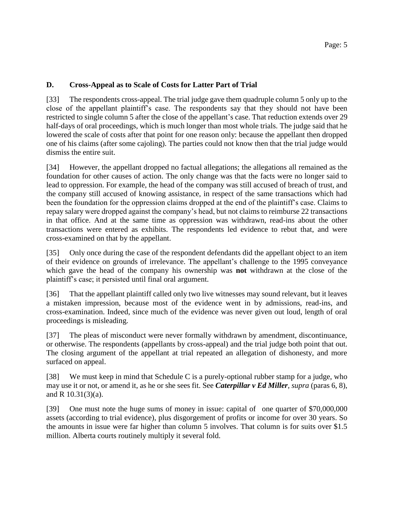#### **D. Cross-Appeal as to Scale of Costs for Latter Part of Trial**

[33] The respondents cross-appeal. The trial judge gave them quadruple column 5 only up to the close of the appellant plaintiff's case. The respondents say that they should not have been restricted to single column 5 after the close of the appellant's case. That reduction extends over 29 half-days of oral proceedings, which is much longer than most whole trials. The judge said that he lowered the scale of costs after that point for one reason only: because the appellant then dropped one of his claims (after some cajoling). The parties could not know then that the trial judge would dismiss the entire suit.

[34] However, the appellant dropped no factual allegations; the allegations all remained as the foundation for other causes of action. The only change was that the facts were no longer said to lead to oppression. For example, the head of the company was still accused of breach of trust, and the company still accused of knowing assistance, in respect of the same transactions which had been the foundation for the oppression claims dropped at the end of the plaintiff's case. Claims to repay salary were dropped against the company's head, but not claims to reimburse 22 transactions in that office. And at the same time as oppression was withdrawn, read-ins about the other transactions were entered as exhibits. The respondents led evidence to rebut that, and were cross-examined on that by the appellant.

[35] Only once during the case of the respondent defendants did the appellant object to an item of their evidence on grounds of irrelevance. The appellant's challenge to the 1995 conveyance which gave the head of the company his ownership was **not** withdrawn at the close of the plaintiff's case; it persisted until final oral argument.

[36] That the appellant plaintiff called only two live witnesses may sound relevant, but it leaves a mistaken impression, because most of the evidence went in by admissions, read-ins, and cross-examination. Indeed, since much of the evidence was never given out loud, length of oral proceedings is misleading.

[37] The pleas of misconduct were never formally withdrawn by amendment, discontinuance, or otherwise. The respondents (appellants by cross-appeal) and the trial judge both point that out. The closing argument of the appellant at trial repeated an allegation of dishonesty, and more surfaced on appeal.

[38] We must keep in mind that Schedule C is a purely-optional rubber stamp for a judge, who may use it or not, or amend it, as he or she sees fit. See *Caterpillar v Ed Miller*, *supra* (paras 6, 8), and R 10.31(3)(a).

[39] One must note the huge sums of money in issue: capital of one quarter of \$70,000,000 assets (according to trial evidence), plus disgorgement of profits or income for over 30 years. So the amounts in issue were far higher than column 5 involves. That column is for suits over \$1.5 million. Alberta courts routinely multiply it several fold.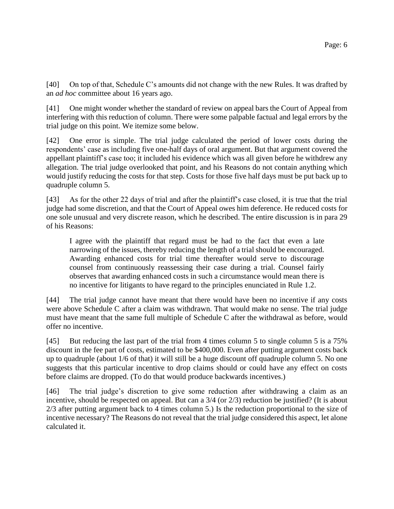[40] On top of that, Schedule C's amounts did not change with the new Rules. It was drafted by an *ad hoc* committee about 16 years ago.

[41] One might wonder whether the standard of review on appeal bars the Court of Appeal from interfering with this reduction of column. There were some palpable factual and legal errors by the trial judge on this point. We itemize some below.

[42] One error is simple. The trial judge calculated the period of lower costs during the respondents' case as including five one-half days of oral argument. But that argument covered the appellant plaintiff's case too; it included his evidence which was all given before he withdrew any allegation. The trial judge overlooked that point, and his Reasons do not contain anything which would justify reducing the costs for that step. Costs for those five half days must be put back up to quadruple column 5.

[43] As for the other 22 days of trial and after the plaintiff's case closed, it is true that the trial judge had some discretion, and that the Court of Appeal owes him deference. He reduced costs for one sole unusual and very discrete reason, which he described. The entire discussion is in para 29 of his Reasons:

I agree with the plaintiff that regard must be had to the fact that even a late narrowing of the issues, thereby reducing the length of a trial should be encouraged. Awarding enhanced costs for trial time thereafter would serve to discourage counsel from continuously reassessing their case during a trial. Counsel fairly observes that awarding enhanced costs in such a circumstance would mean there is no incentive for litigants to have regard to the principles enunciated in Rule 1.2.

[44] The trial judge cannot have meant that there would have been no incentive if any costs were above Schedule C after a claim was withdrawn. That would make no sense. The trial judge must have meant that the same full multiple of Schedule C after the withdrawal as before, would offer no incentive.

[45] But reducing the last part of the trial from 4 times column 5 to single column 5 is a 75% discount in the fee part of costs, estimated to be \$400,000. Even after putting argument costs back up to quadruple (about 1/6 of that) it will still be a huge discount off quadruple column 5. No one suggests that this particular incentive to drop claims should or could have any effect on costs before claims are dropped. (To do that would produce backwards incentives.)

[46] The trial judge's discretion to give some reduction after withdrawing a claim as an incentive, should be respected on appeal. But can a 3/4 (or 2/3) reduction be justified? (It is about 2/3 after putting argument back to 4 times column 5.) Is the reduction proportional to the size of incentive necessary? The Reasons do not reveal that the trial judge considered this aspect, let alone calculated it.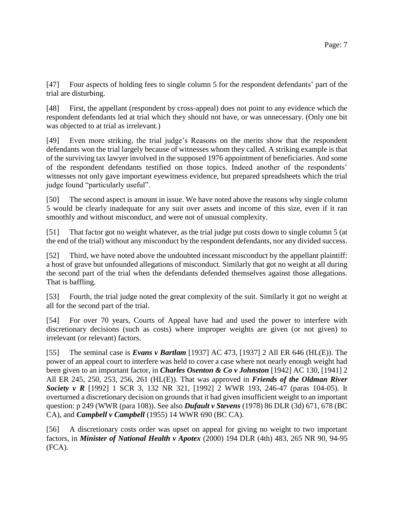[47] Four aspects of holding fees to single column 5 for the respondent defendants' part of the trial are disturbing.

[48] First, the appellant (respondent by cross-appeal) does not point to any evidence which the respondent defendants led at trial which they should not have, or was unnecessary. (Only one bit was objected to at trial as irrelevant.)

[49] Even more striking, the trial judge's Reasons on the merits show that the respondent defendants won the trial largely because of witnesses whom they called. A striking example is that of the surviving tax lawyer involved in the supposed 1976 appointment of beneficiaries. And some of the respondent defendants testified on those topics. Indeed another of the respondents' witnesses not only gave important eyewitness evidence, but prepared spreadsheets which the trial judge found "particularly useful".

[50] The second aspect is amount in issue. We have noted above the reasons why single column 5 would be clearly inadequate for any suit over assets and income of this size, even if it ran smoothly and without misconduct, and were not of unusual complexity.

[51] That factor got no weight whatever, as the trial judge put costs down to single column 5 (at the end of the trial) without any misconduct by the respondent defendants, nor any divided success.

[52] Third, we have noted above the undoubted incessant misconduct by the appellant plaintiff: a host of grave but unfounded allegations of misconduct. Similarly that got no weight at all during the second part of the trial when the defendants defended themselves against those allegations. That is baffling.

[53] Fourth, the trial judge noted the great complexity of the suit. Similarly it got no weight at all for the second part of the trial.

[54] For over 70 years, Courts of Appeal have had and used the power to interfere with discretionary decisions (such as costs) where improper weights are given (or not given) to irrelevant (or relevant) factors.

[55] The seminal case is *Evans v Bartlam* [1937] AC 473, [1937] 2 All ER 646 (HL(E)). The power of an appeal court to interfere was held to cover a case where not nearly enough weight had been given to an important factor, in *Charles Osenton & Co v Johnston* [1942] AC 130, [1941] 2 All ER 245, 250, 253, 256, 261 (HL(E)). That was approved in *Friends of the Oldman River Society v R* [1992] 1 SCR 3, 132 NR 321, [1992] 2 WWR 193, 246-47 (paras 104-05). It overturned a discretionary decision on grounds that it had given insufficient weight to an important question: p 249 (WWR (para 108)). See also *Dufault v Stevens* (1978) 86 DLR (3d) 671, 678 (BC CA), and *Campbell v Campbell* (1955) 14 WWR 690 (BC CA).

[56] A discretionary costs order was upset on appeal for giving no weight to two important factors, in *Minister of National Health v Apotex* (2000) 194 DLR (4th) 483, 265 NR 90, 94-95 (FCA).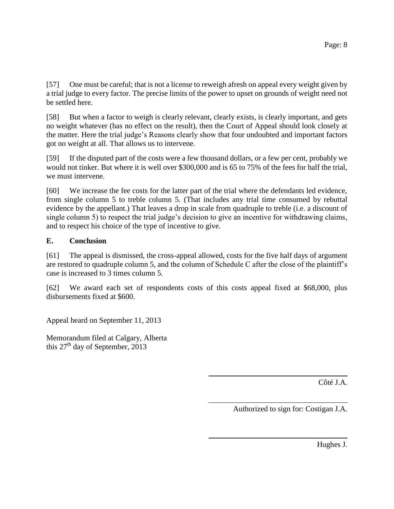[57] One must be careful; that is not a license to reweigh afresh on appeal every weight given by a trial judge to every factor. The precise limits of the power to upset on grounds of weight need not be settled here.

[58] But when a factor to weigh is clearly relevant, clearly exists, is clearly important, and gets no weight whatever (has no effect on the result), then the Court of Appeal should look closely at the matter. Here the trial judge's Reasons clearly show that four undoubted and important factors got no weight at all. That allows us to intervene.

[59] If the disputed part of the costs were a few thousand dollars, or a few per cent, probably we would not tinker. But where it is well over \$300,000 and is 65 to 75% of the fees for half the trial, we must intervene.

[60] We increase the fee costs for the latter part of the trial where the defendants led evidence, from single column 5 to treble column 5. (That includes any trial time consumed by rebuttal evidence by the appellant.) That leaves a drop in scale from quadruple to treble (i.e. a discount of single column 5) to respect the trial judge's decision to give an incentive for withdrawing claims, and to respect his choice of the type of incentive to give.

# **E. Conclusion**

[61] The appeal is dismissed, the cross-appeal allowed, costs for the five half days of argument are restored to quadruple column 5, and the column of Schedule C after the close of the plaintiff's case is increased to 3 times column 5.

[62] We award each set of respondents costs of this costs appeal fixed at \$68,000, plus disbursements fixed at \$600.

Appeal heard on September 11, 2013

Memorandum filed at Calgary, Alberta this  $27<sup>th</sup>$  day of September, 2013

Côté J.A.

Authorized to sign for: Costigan J.A.

Hughes J.